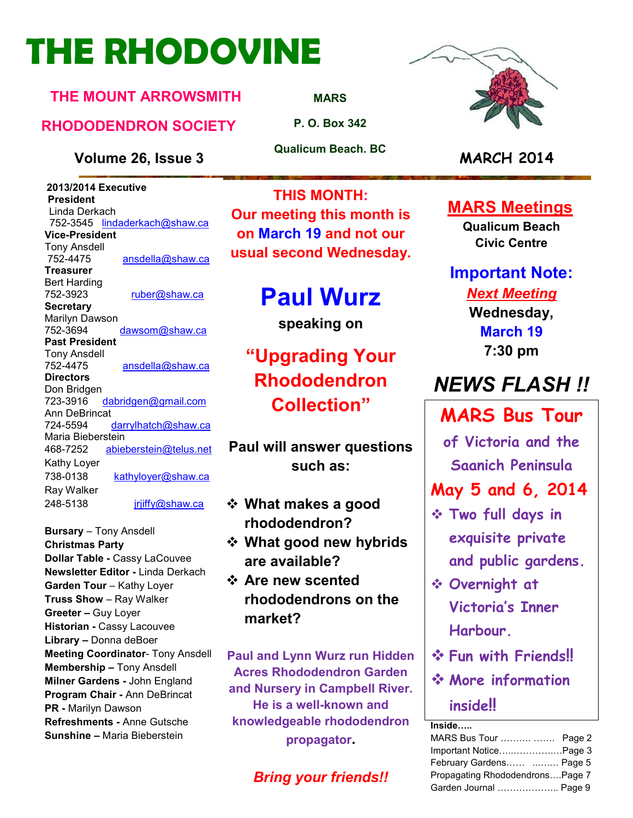# **THE RHODOVINE**

#### **THE MOUNT ARROWSMITH**

#### **RHODODENDRON SOCIETY**

#### **Volume 26, Issue 3 MARCH 2014**

 **2013/2014 Executive President**  Linda Derkach 752-3545 lindaderkach@shaw.ca **Vice-President**  Tony Ansdell ansdella@shaw.ca **Treasurer**  Bert Harding 752-3923 ruber@shaw.ca **Secretary** Marilyn Dawson 752-3694 dawsom@shaw.ca **Past President**  Tony Ansdell 752-4475 ansdella@shaw.ca **Directors**  Don Bridgen 723-3916 dabridgen@gmail.com Ann DeBrincat<br>724-5594 darrylhatch@shaw.ca Maria Bieberstein 468-7252 abieberstein@telus.net Kathy Loyer 738-0138 kathyloyer@shaw.ca Ray Walker 248-5138 jrjiffy@shaw.ca

**Bursary** – Tony Ansdell **Christmas Party Dollar Table -** Cassy LaCouvee **Newsletter Editor -** Linda Derkach **Garden Tour** – Kathy Loyer **Truss Show** – Ray Walker **Greeter –** Guy Loyer **Historian -** Cassy Lacouvee **Library –** Donna deBoer **Meeting Coordinator- Tony Ansdell Membership –** Tony Ansdell **Milner Gardens -** John England **Program Chair -** Ann DeBrincat **PR -** Marilyn Dawson **Refreshments -** Anne Gutsche **Sunshine –** Maria Bieberstein

**MARS**

**P. O. Box 342** 

**Qualicum Beach. BC** 

**THIS MONTH: Our meeting this month is on March 19 and not our usual second Wednesday.** 

# **Paul Wurz**

**speaking on** 

# **"Upgrading Your Rhododendron Collection"**

**Paul will answer questions such as:** 

- **What makes a good rhododendron?**
- **What good new hybrids are available?**
- **Are new scented rhododendrons on the market?**

**Paul and Lynn Wurz run Hidden Acres Rhododendron Garden and Nursery in Campbell River. He is a well-known and knowledgeable rhododendron propagator.** 

### *Bring your friends!!*



#### **MARS Meetings**

**Qualicum Beach Civic Centre** 

**Important Note:**  *Next Meeting*  **Wednesday,** 

**March 19 7:30 pm** 

# *NEWS FLASH !!*

## **MARS Bus Tour**

**of Victoria and the Saanich Peninsula** 

### **May 5 and 6, 2014**

- **Two full days in exquisite private and public gardens.**
- **Overnight at Victoria's Inner Harbour.**
- **Fun with Friends!!**
- **More information inside!!**

**Inside:..** 

| MARS Bus Tour   Page 2          |  |
|---------------------------------|--|
| Important NoticePage 3          |  |
| February Gardens  Page 5        |  |
| Propagating RhododendronsPage 7 |  |
| Garden Journal  Page 9          |  |
|                                 |  |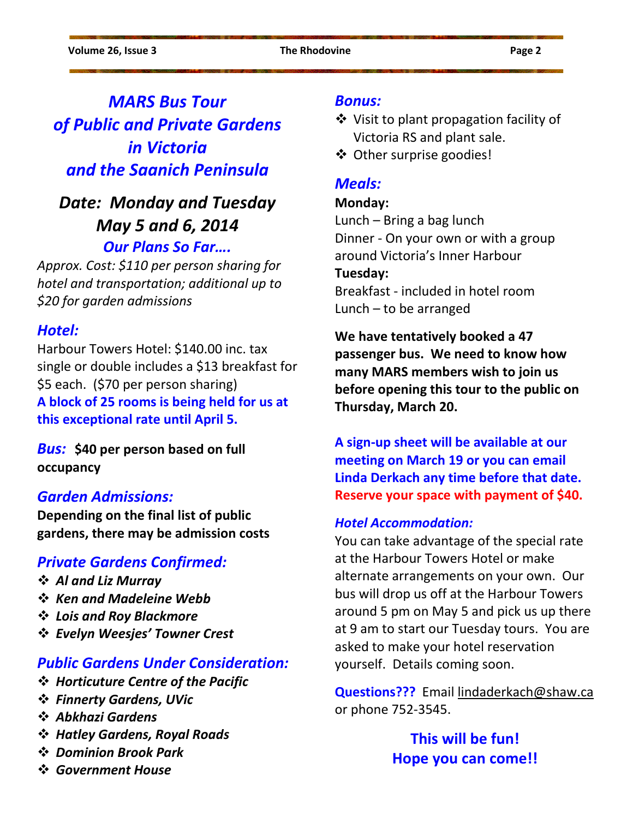### *MARS Bus Tour of Public and Private Gardens in Victoria and the Saanich Peninsula*

### *Date: Monday and Tuesday May 5 and 6, 2014 Our Plans So Far….*

*Approx. Cost: \$110 per person sharing for hotel and transportation; additional up to \$20 for garden admissions* 

#### *Hotel:*

Harbour Towers Hotel: \$140.00 inc. tax single or double includes a \$13 breakfast for \$5 each. (\$70 per person sharing) **A block of 25 rooms is being held for us at this exceptional rate until April 5.** 

*Bus:* **\$40 per person based on full occupancy** 

#### *Garden Admissions:*

**Depending on the final list of public gardens, there may be admission costs** 

#### *Private Gardens Confirmed:*

- *Al and Liz Murray*
- *Ken and Madeleine Webb*
- *Lois and Roy Blackmore*
- *Evelyn Weesjes' Towner Crest*

#### *Public Gardens Under Consideration:*

- *Horticuture Centre of the Pacific*
- *Finnerty Gardens, UVic*
- *Abkhazi Gardens*
- *Hatley Gardens, Royal Roads*
- *Dominion Brook Park*
- *Government House*

#### *Bonus:*

- Visit to plant propagation facility of Victoria RS and plant sale.
- ❖ Other surprise goodies!

#### *Meals:*

#### **Monday:**

Lunch – Bring a bag lunch Dinner - On your own or with a group around Victoria's Inner Harbour **Tuesday:**  Breakfast - included in hotel room Lunch – to be arranged

**We have tentatively booked a 47 passenger bus. We need to know how many MARS members wish to join us before opening this tour to the public on Thursday, March 20.** 

**A sign-up sheet will be available at our meeting on March 19 or you can email Linda Derkach any time before that date. Reserve your space with payment of \$40.** 

#### *Hotel Accommodation:*

You can take advantage of the special rate at the Harbour Towers Hotel or make alternate arrangements on your own. Our bus will drop us off at the Harbour Towers around 5 pm on May 5 and pick us up there at 9 am to start our Tuesday tours. You are asked to make your hotel reservation yourself. Details coming soon.

**Questions???** Email lindaderkach@shaw.ca or phone 752-3545.

> **This will be fun! Hope you can come!!**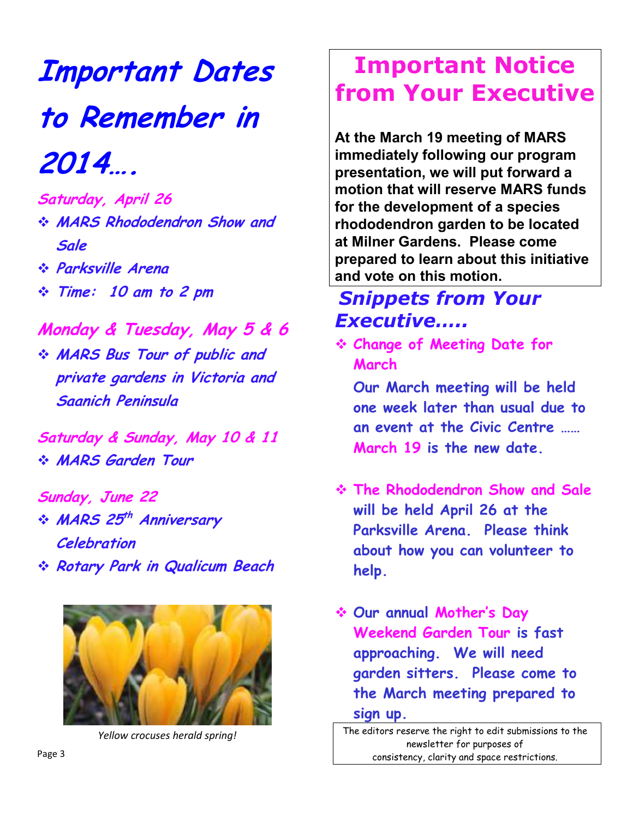**Important Dates to Remember in 2014….** 

**Saturday, April 26 MARS Rhododendron Show and Sale** 

- **Parksville Arena**
- **Time: 10 am to 2 pm**

**Monday & Tuesday, May 5 & 6 MARS Bus Tour of public and private gardens in Victoria and Saanich Peninsula** 

**Saturday & Sunday, May 10 & 11 MARS Garden Tour** 

- **Sunday, June 22**   $\div$  **MARS** 25<sup>th</sup> Anniversary **Celebration**
- **Rotary Park in Qualicum Beach**



*Yellow crocuses herald spring!* 

# **Important Notice from Your Executive**

**At the March 19 meeting of MARS immediately following our program presentation, we will put forward a motion that will reserve MARS funds for the development of a species rhododendron garden to be located at Milner Gardens. Please come prepared to learn about this initiative and vote on this motion.** 

### *Snippets from Your Executive…..*

 **Change of Meeting Date for March** 

**Our March meeting will be held one week later than usual due to an event at the Civic Centre …… March 19 is the new date.** 

- **The Rhododendron Show and Sale will be held April 26 at the Parksville Arena. Please think about how you can volunteer to help.**
- **Our annual Mother's Day Weekend Garden Tour is fast approaching. We will need garden sitters. Please come to the March meeting prepared to sign up.**

The editors reserve the right to edit submissions to the newsletter for purposes of consistency, clarity and space restrictions.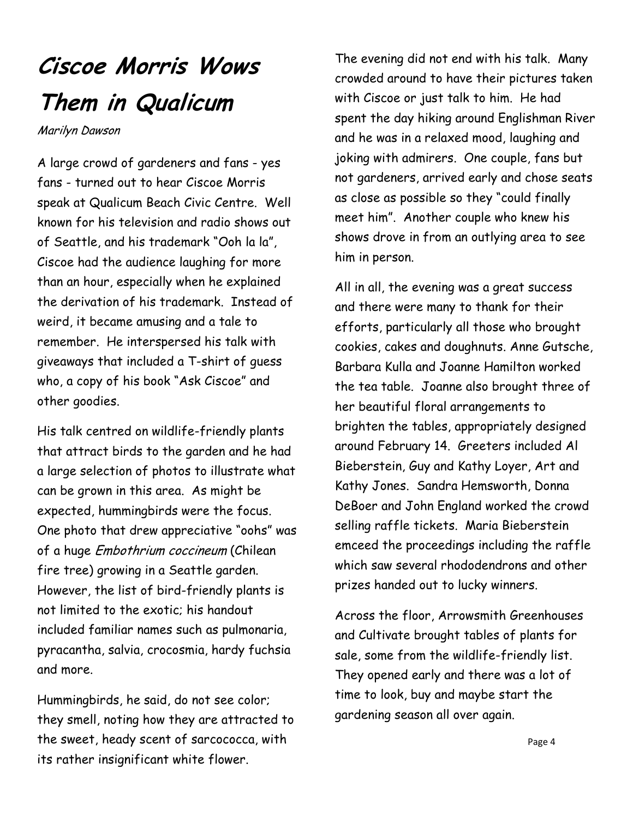# **Ciscoe Morris Wows Them in Qualicum**

Marilyn Dawson

A large crowd of gardeners and fans - yes fans - turned out to hear Ciscoe Morris speak at Qualicum Beach Civic Centre. Well known for his television and radio shows out of Seattle, and his trademark "Ooh la la", Ciscoe had the audience laughing for more than an hour, especially when he explained the derivation of his trademark. Instead of weird, it became amusing and a tale to remember. He interspersed his talk with giveaways that included a T-shirt of guess who, a copy of his book "Ask Ciscoe" and other goodies.

His talk centred on wildlife-friendly plants that attract birds to the garden and he had a large selection of photos to illustrate what can be grown in this area. As might be expected, hummingbirds were the focus. One photo that drew appreciative "oohs" was of a huge Embothrium coccineum (Chilean fire tree) growing in a Seattle garden. However, the list of bird-friendly plants is not limited to the exotic; his handout included familiar names such as pulmonaria, pyracantha, salvia, crocosmia, hardy fuchsia and more.

Hummingbirds, he said, do not see color; they smell, noting how they are attracted to the sweet, heady scent of sarcococca, with its rather insignificant white flower.

The evening did not end with his talk. Many crowded around to have their pictures taken with Ciscoe or just talk to him. He had spent the day hiking around Englishman River and he was in a relaxed mood, laughing and joking with admirers. One couple, fans but not gardeners, arrived early and chose seats as close as possible so they "could finally meet him". Another couple who knew his shows drove in from an outlying area to see him in person.

All in all, the evening was a great success and there were many to thank for their efforts, particularly all those who brought cookies, cakes and doughnuts. Anne Gutsche, Barbara Kulla and Joanne Hamilton worked the tea table. Joanne also brought three of her beautiful floral arrangements to brighten the tables, appropriately designed around February 14. Greeters included Al Bieberstein, Guy and Kathy Loyer, Art and Kathy Jones. Sandra Hemsworth, Donna DeBoer and John England worked the crowd selling raffle tickets. Maria Bieberstein emceed the proceedings including the raffle which saw several rhododendrons and other prizes handed out to lucky winners.

Across the floor, Arrowsmith Greenhouses and Cultivate brought tables of plants for sale, some from the wildlife-friendly list. They opened early and there was a lot of time to look, buy and maybe start the gardening season all over again.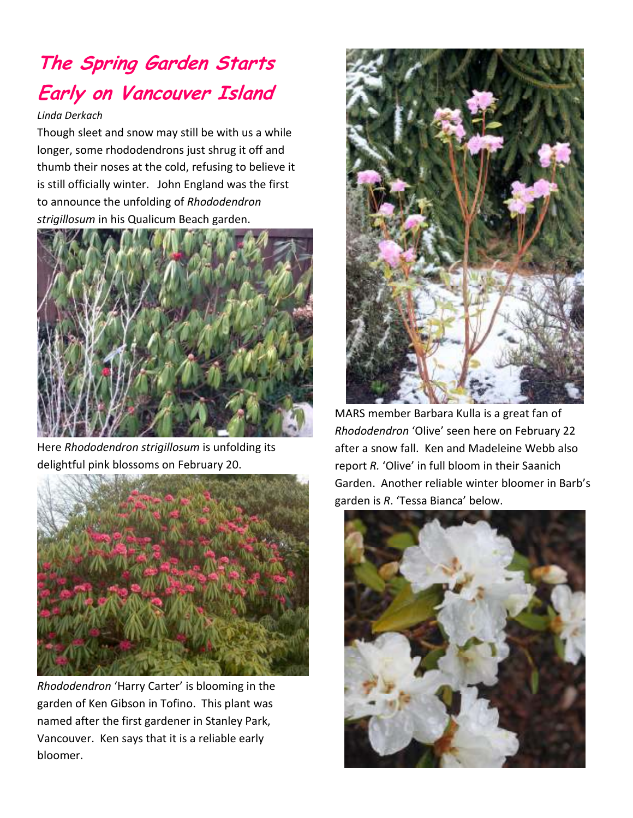# **The Spring Garden Starts Early on Vancouver Island**

#### *Linda Derkach*

Though sleet and snow may still be with us a while longer, some rhododendrons just shrug it off and thumb their noses at the cold, refusing to believe it is still officially winter. John England was the first to announce the unfolding of *Rhododendron strigillosum* in his Qualicum Beach garden.



Here *Rhododendron strigillosum* is unfolding its delightful pink blossoms on February 20.



*Rhododendron* 'Harry Carter' is blooming in the garden of Ken Gibson in Tofino. This plant was named after the first gardener in Stanley Park, Vancouver. Ken says that it is a reliable early bloomer.



MARS member Barbara Kulla is a great fan of *Rhododendron* 'Olive' seen here on February 22 after a snow fall. Ken and Madeleine Webb also report *R.* 'Olive' in full bloom in their Saanich Garden. Another reliable winter bloomer in Barb's garden is *R*. 'Tessa Bianca' below.

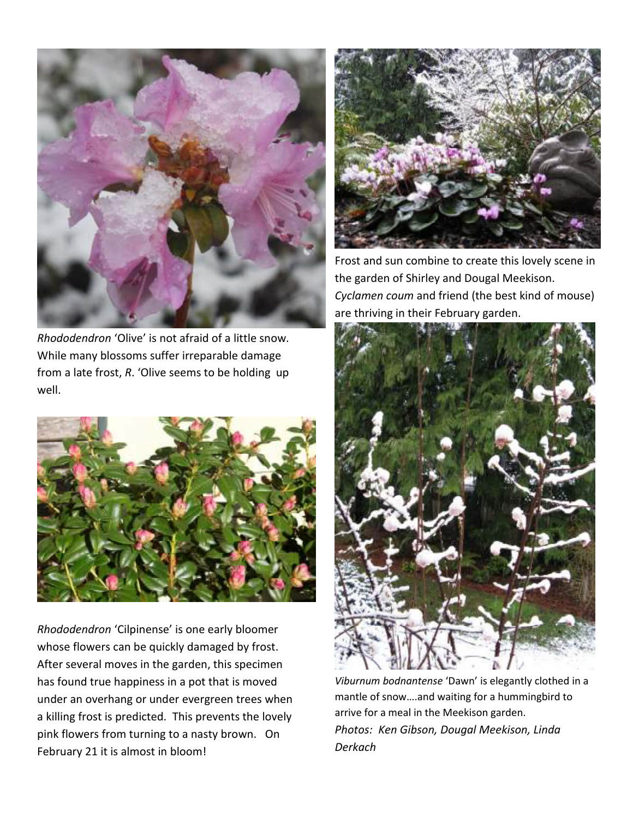

*Rhododendron* 'Olive' is not afraid of a little snow. While many blossoms suffer irreparable damage from a late frost, *R*. 'Olive seems to be holding up well.



*Rhododendron* 'Cilpinense' is one early bloomer whose flowers can be quickly damaged by frost. After several moves in the garden, this specimen has found true happiness in a pot that is moved under an overhang or under evergreen trees when a killing frost is predicted. This prevents the lovely pink flowers from turning to a nasty brown. On February 21 it is almost in bloom!



Frost and sun combine to create this lovely scene in the garden of Shirley and Dougal Meekison. *Cyclamen coum* and friend (the best kind of mouse) are thriving in their February garden.



*Viburnum bodnantense* 'Dawn' is elegantly clothed in a mantle of snow….and waiting for a hummingbird to arrive for a meal in the Meekison garden. *Photos: Ken Gibson, Dougal Meekison, Linda Derkach*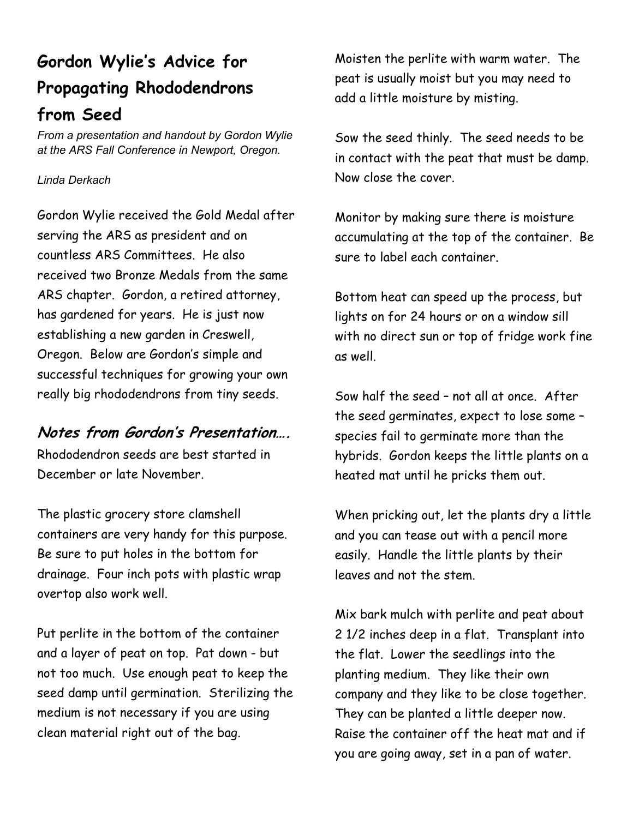# **Gordon Wylie's Advice for Propagating Rhododendrons from Seed**

*From a presentation and handout by Gordon Wylie at the ARS Fall Conference in Newport, Oregon.* 

#### *Linda Derkach*

Gordon Wylie received the Gold Medal after serving the ARS as president and on countless ARS Committees. He also received two Bronze Medals from the same ARS chapter. Gordon, a retired attorney, has gardened for years. He is just now establishing a new garden in Creswell, Oregon. Below are Gordon's simple and successful techniques for growing your own really big rhododendrons from tiny seeds.

#### **Notes from Gordon's Presentation….**

Rhododendron seeds are best started in December or late November.

The plastic grocery store clamshell containers are very handy for this purpose. Be sure to put holes in the bottom for drainage. Four inch pots with plastic wrap overtop also work well.

Put perlite in the bottom of the container and a layer of peat on top. Pat down - but not too much. Use enough peat to keep the seed damp until germination. Sterilizing the medium is not necessary if you are using clean material right out of the bag.

Moisten the perlite with warm water. The peat is usually moist but you may need to add a little moisture by misting.

Sow the seed thinly. The seed needs to be in contact with the peat that must be damp. Now close the cover.

Monitor by making sure there is moisture accumulating at the top of the container. Be sure to label each container.

Bottom heat can speed up the process, but lights on for 24 hours or on a window sill with no direct sun or top of fridge work fine as well.

Sow half the seed – not all at once. After the seed germinates, expect to lose some – species fail to germinate more than the hybrids. Gordon keeps the little plants on a heated mat until he pricks them out.

When pricking out, let the plants dry a little and you can tease out with a pencil more easily. Handle the little plants by their leaves and not the stem.

Mix bark mulch with perlite and peat about 2 1/2 inches deep in a flat. Transplant into the flat. Lower the seedlings into the planting medium. They like their own company and they like to be close together. They can be planted a little deeper now. Raise the container off the heat mat and if you are going away, set in a pan of water.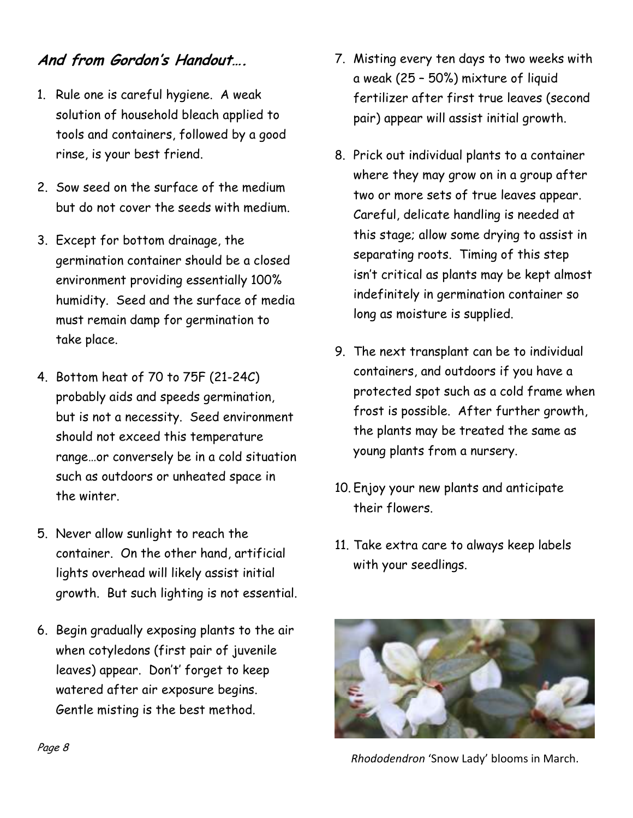#### **And from Gordon's Handout….**

- 1. Rule one is careful hygiene. A weak solution of household bleach applied to tools and containers, followed by a good rinse, is your best friend.
- 2. Sow seed on the surface of the medium but do not cover the seeds with medium.
- 3. Except for bottom drainage, the germination container should be a closed environment providing essentially 100% humidity. Seed and the surface of media must remain damp for germination to take place.
- 4. Bottom heat of 70 to 75F (21-24C) probably aids and speeds germination, but is not a necessity. Seed environment should not exceed this temperature range…or conversely be in a cold situation such as outdoors or unheated space in the winter.
- 5. Never allow sunlight to reach the container. On the other hand, artificial lights overhead will likely assist initial growth. But such lighting is not essential.
- 6. Begin gradually exposing plants to the air when cotyledons (first pair of juvenile leaves) appear. Don't' forget to keep watered after air exposure begins. Gentle misting is the best method.
- 7. Misting every ten days to two weeks with a weak (25 – 50%) mixture of liquid fertilizer after first true leaves (second pair) appear will assist initial growth.
- 8. Prick out individual plants to a container where they may grow on in a group after two or more sets of true leaves appear. Careful, delicate handling is needed at this stage; allow some drying to assist in separating roots. Timing of this step isn't critical as plants may be kept almost indefinitely in germination container so long as moisture is supplied.
- 9. The next transplant can be to individual containers, and outdoors if you have a protected spot such as a cold frame when frost is possible. After further growth, the plants may be treated the same as young plants from a nursery.
- 10. Enjoy your new plants and anticipate their flowers.
- 11. Take extra care to always keep labels with your seedlings.



*Rhododendron* 'Snow Lady' blooms in March.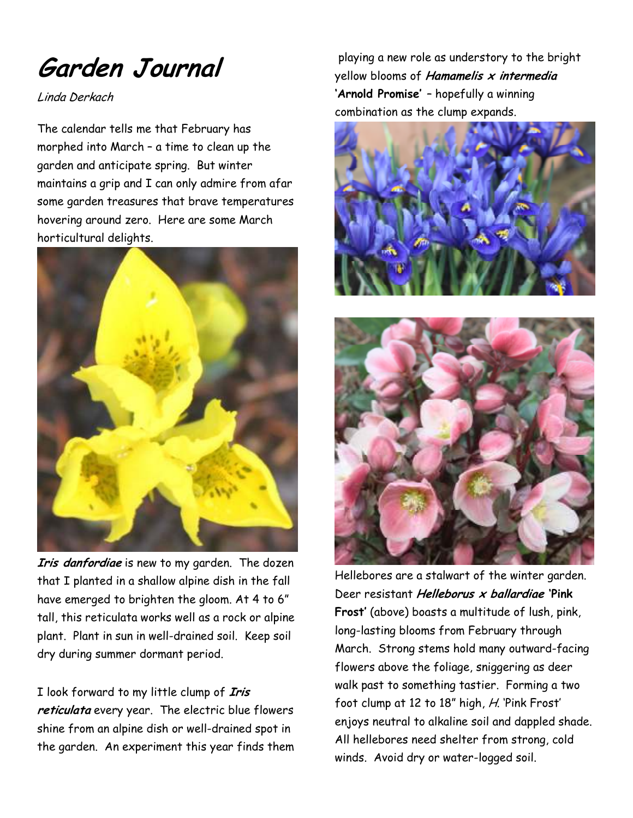**Garden Journal** 

Linda Derkach

The calendar tells me that February has morphed into March – a time to clean up the garden and anticipate spring. But winter maintains a grip and I can only admire from afar some garden treasures that brave temperatures hovering around zero. Here are some March horticultural delights.



**Iris danfordiae** is new to my garden. The dozen that I planted in a shallow alpine dish in the fall have emerged to brighten the gloom. At 4 to 6" tall, this reticulata works well as a rock or alpine plant. Plant in sun in well-drained soil. Keep soil dry during summer dormant period.

I look forward to my little clump of **Iris reticulata** every year. The electric blue flowers shine from an alpine dish or well-drained spot in the garden. An experiment this year finds them

 playing a new role as understory to the bright yellow blooms of **Hamamelis x intermedia 'Arnold Promise'** – hopefully a winning combination as the clump expands.





Hellebores are a stalwart of the winter garden. Deer resistant **Helleborus x ballardiae 'Pink Frost'** (above) boasts a multitude of lush, pink, long-lasting blooms from February through March. Strong stems hold many outward-facing flowers above the foliage, sniggering as deer walk past to something tastier. Forming a two foot clump at 12 to 18" high, H. 'Pink Frost' enjoys neutral to alkaline soil and dappled shade. All hellebores need shelter from strong, cold winds. Avoid dry or water-logged soil.